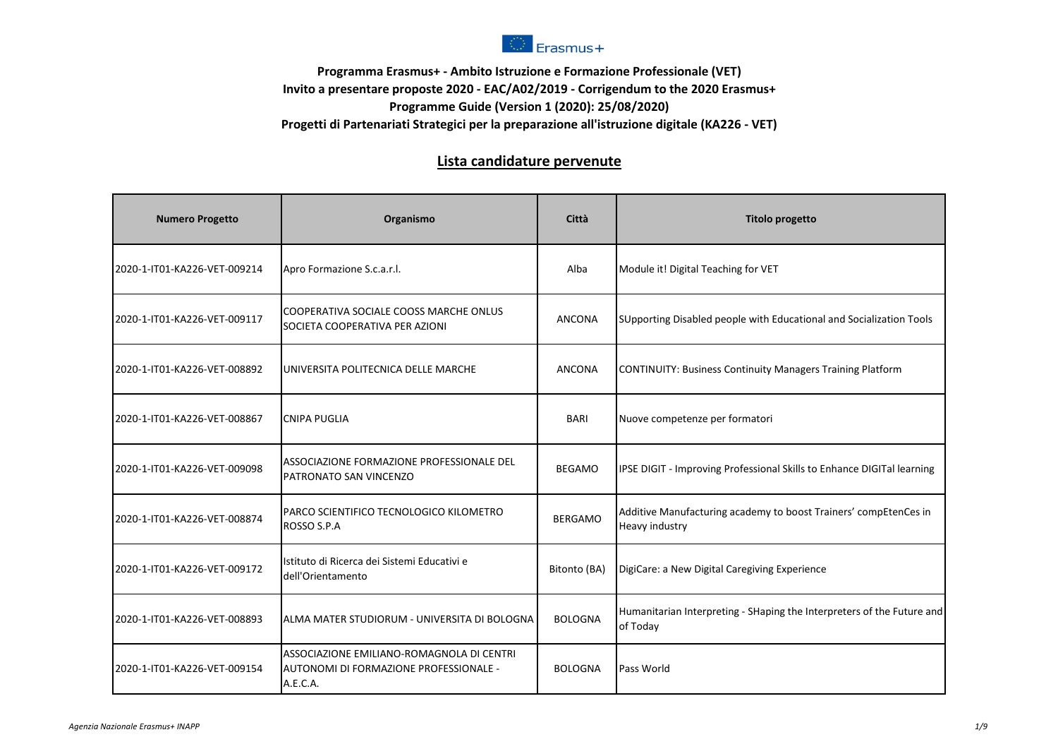

## **Programma Erasmus+ - Ambito Istruzione e Formazione Professionale (VET) Invito a presentare proposte 2020 - EAC/A02/2019 - Corrigendum to the 2020 Erasmus+ Programme Guide (Version 1 (2020): 25/08/2020) Progetti di Partenariati Strategici per la preparazione all'istruzione digitale (KA226 - VET)**

## **Lista candidature pervenute**

| <b>Numero Progetto</b>       | Organismo                                                                                       | Città          | <b>Titolo progetto</b>                                                                    |
|------------------------------|-------------------------------------------------------------------------------------------------|----------------|-------------------------------------------------------------------------------------------|
| 2020-1-IT01-KA226-VET-009214 | Apro Formazione S.c.a.r.l.                                                                      | Alba           | Module it! Digital Teaching for VET                                                       |
| 2020-1-IT01-KA226-VET-009117 | COOPERATIVA SOCIALE COOSS MARCHE ONLUS<br>SOCIETA COOPERATIVA PER AZIONI                        | <b>ANCONA</b>  | SUpporting Disabled people with Educational and Socialization Tools                       |
| 2020-1-IT01-KA226-VET-008892 | UNIVERSITA POLITECNICA DELLE MARCHE                                                             | <b>ANCONA</b>  | <b>CONTINUITY: Business Continuity Managers Training Platform</b>                         |
| 2020-1-IT01-KA226-VET-008867 | <b>CNIPA PUGLIA</b>                                                                             | <b>BARI</b>    | Nuove competenze per formatori                                                            |
| 2020-1-IT01-KA226-VET-009098 | ASSOCIAZIONE FORMAZIONE PROFESSIONALE DEL<br>PATRONATO SAN VINCENZO                             | <b>BEGAMO</b>  | IPSE DIGIT - Improving Professional Skills to Enhance DIGITal learning                    |
| 2020-1-IT01-KA226-VET-008874 | PARCO SCIENTIFICO TECNOLOGICO KILOMETRO<br>ROSSO S.P.A                                          | <b>BERGAMO</b> | Additive Manufacturing academy to boost Trainers' compEtenCes in<br><b>Heavy industry</b> |
| 2020-1-IT01-KA226-VET-009172 | Istituto di Ricerca dei Sistemi Educativi e<br>dell'Orientamento                                | Bitonto (BA)   | DigiCare: a New Digital Caregiving Experience                                             |
| 2020-1-IT01-KA226-VET-008893 | lalma mater studiorum - Universita di Bologna                                                   | <b>BOLOGNA</b> | Humanitarian Interpreting - SHaping the Interpreters of the Future and<br>of Today        |
| 2020-1-IT01-KA226-VET-009154 | ASSOCIAZIONE EMILIANO-ROMAGNOLA DI CENTRI<br>AUTONOMI DI FORMAZIONE PROFESSIONALE -<br>A.E.C.A. | <b>BOLOGNA</b> | Pass World                                                                                |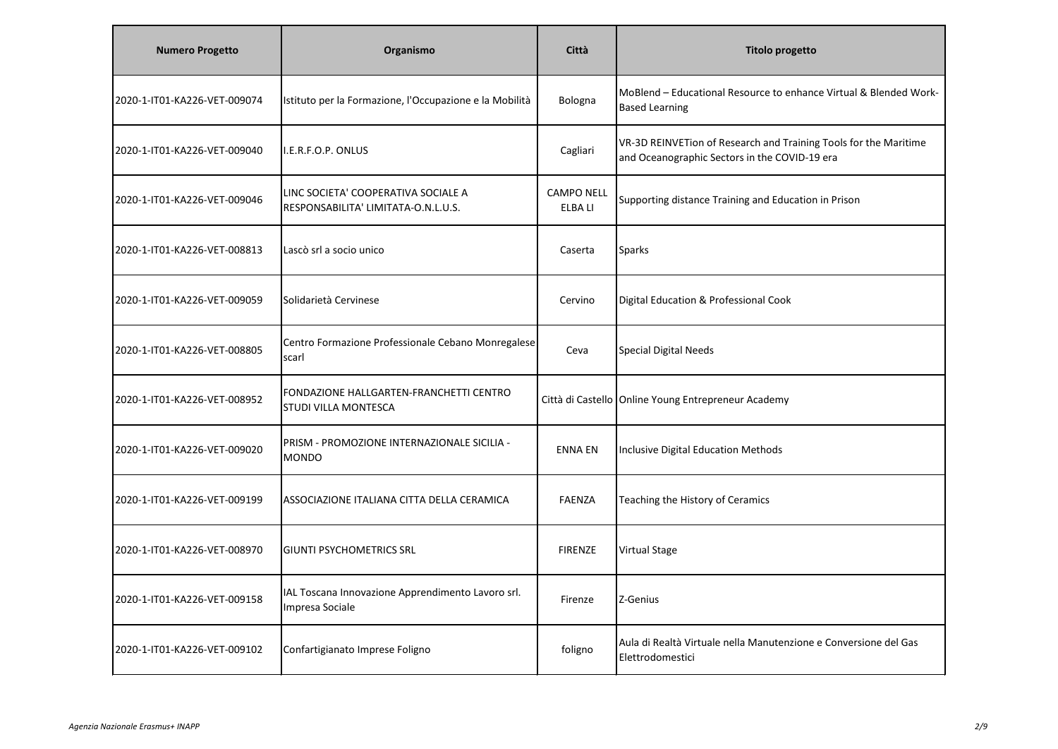| <b>Numero Progetto</b>       | Organismo                                                                  | Città                        | <b>Titolo progetto</b>                                                                                            |
|------------------------------|----------------------------------------------------------------------------|------------------------------|-------------------------------------------------------------------------------------------------------------------|
| 2020-1-IT01-KA226-VET-009074 | Istituto per la Formazione, l'Occupazione e la Mobilità                    | Bologna                      | MoBlend - Educational Resource to enhance Virtual & Blended Work-<br><b>Based Learning</b>                        |
| 2020-1-IT01-KA226-VET-009040 | I.E.R.F.O.P. ONLUS                                                         | Cagliari                     | VR-3D REINVETion of Research and Training Tools for the Maritime<br>and Oceanographic Sectors in the COVID-19 era |
| 2020-1-IT01-KA226-VET-009046 | LINC SOCIETA' COOPERATIVA SOCIALE A<br>RESPONSABILITA' LIMITATA-O.N.L.U.S. | <b>CAMPO NELL</b><br>ELBA LI | Supporting distance Training and Education in Prison                                                              |
| 2020-1-IT01-KA226-VET-008813 | Lascò srl a socio unico                                                    | Caserta                      | <b>Sparks</b>                                                                                                     |
| 2020-1-IT01-KA226-VET-009059 | Solidarietà Cervinese                                                      | Cervino                      | Digital Education & Professional Cook                                                                             |
| 2020-1-IT01-KA226-VET-008805 | Centro Formazione Professionale Cebano Monregalese<br>scarl                | Ceva                         | Special Digital Needs                                                                                             |
| 2020-1-IT01-KA226-VET-008952 | FONDAZIONE HALLGARTEN-FRANCHETTI CENTRO<br><b>STUDI VILLA MONTESCA</b>     |                              | Città di Castello Online Young Entrepreneur Academy                                                               |
| 2020-1-IT01-KA226-VET-009020 | PRISM - PROMOZIONE INTERNAZIONALE SICILIA -<br><b>MONDO</b>                | <b>ENNA EN</b>               | Inclusive Digital Education Methods                                                                               |
| 2020-1-IT01-KA226-VET-009199 | ASSOCIAZIONE ITALIANA CITTA DELLA CERAMICA                                 | <b>FAENZA</b>                | Teaching the History of Ceramics                                                                                  |
| 2020-1-IT01-KA226-VET-008970 | <b>GIUNTI PSYCHOMETRICS SRL</b>                                            | <b>FIRENZE</b>               | <b>Virtual Stage</b>                                                                                              |
| 2020-1-IT01-KA226-VET-009158 | IAL Toscana Innovazione Apprendimento Lavoro srl.<br>Impresa Sociale       | Firenze                      | Z-Genius                                                                                                          |
| 2020-1-IT01-KA226-VET-009102 | Confartigianato Imprese Foligno                                            | foligno                      | Aula di Realtà Virtuale nella Manutenzione e Conversione del Gas<br>Elettrodomestici                              |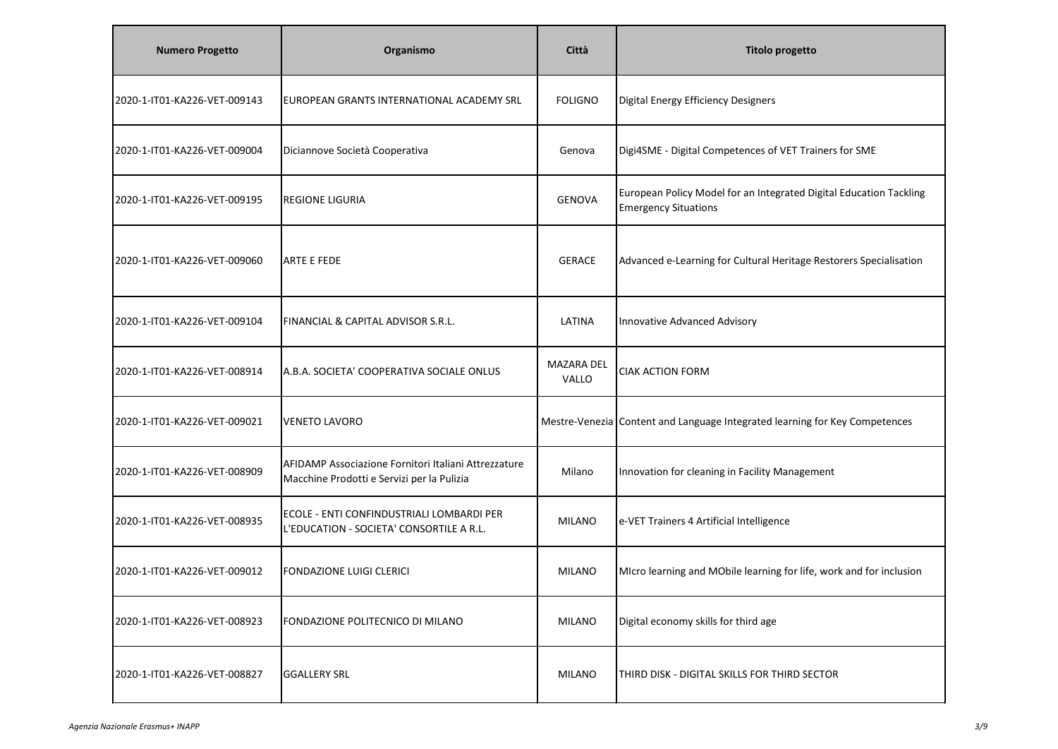| <b>Numero Progetto</b>       | Organismo                                                                                          | Città               | <b>Titolo progetto</b>                                                                            |
|------------------------------|----------------------------------------------------------------------------------------------------|---------------------|---------------------------------------------------------------------------------------------------|
| 2020-1-IT01-KA226-VET-009143 | EUROPEAN GRANTS INTERNATIONAL ACADEMY SRL                                                          | <b>FOLIGNO</b>      | Digital Energy Efficiency Designers                                                               |
| 2020-1-IT01-KA226-VET-009004 | Diciannove Società Cooperativa                                                                     | Genova              | Digi4SME - Digital Competences of VET Trainers for SME                                            |
| 2020-1-IT01-KA226-VET-009195 | <b>REGIONE LIGURIA</b>                                                                             | <b>GENOVA</b>       | European Policy Model for an Integrated Digital Education Tackling<br><b>Emergency Situations</b> |
| 2020-1-IT01-KA226-VET-009060 | <b>ARTE E FEDE</b>                                                                                 | <b>GERACE</b>       | Advanced e-Learning for Cultural Heritage Restorers Specialisation                                |
| 2020-1-IT01-KA226-VET-009104 | FINANCIAL & CAPITAL ADVISOR S.R.L.                                                                 | LATINA              | Innovative Advanced Advisory                                                                      |
| 2020-1-IT01-KA226-VET-008914 | A.B.A. SOCIETA' COOPERATIVA SOCIALE ONLUS                                                          | MAZARA DEL<br>VALLO | <b>CIAK ACTION FORM</b>                                                                           |
| 2020-1-IT01-KA226-VET-009021 | <b>VENETO LAVORO</b>                                                                               |                     | Mestre-Venezia Content and Language Integrated learning for Key Competences                       |
| 2020-1-IT01-KA226-VET-008909 | AFIDAMP Associazione Fornitori Italiani Attrezzature<br>Macchine Prodotti e Servizi per la Pulizia | Milano              | Innovation for cleaning in Facility Management                                                    |
| 2020-1-IT01-KA226-VET-008935 | ECOLE - ENTI CONFINDUSTRIALI LOMBARDI PER<br>L'EDUCATION - SOCIETA' CONSORTILE A R.L               | <b>MILANO</b>       | e-VET Trainers 4 Artificial Intelligence                                                          |
| 2020-1-IT01-KA226-VET-009012 | FONDAZIONE LUIGI CLERICI                                                                           | <b>MILANO</b>       | MIcro learning and MObile learning for life, work and for inclusion                               |
| 2020-1-IT01-KA226-VET-008923 | FONDAZIONE POLITECNICO DI MILANO                                                                   | <b>MILANO</b>       | Digital economy skills for third age                                                              |
| 2020-1-IT01-KA226-VET-008827 | <b>GGALLERY SRL</b>                                                                                | <b>MILANO</b>       | THIRD DISK - DIGITAL SKILLS FOR THIRD SECTOR                                                      |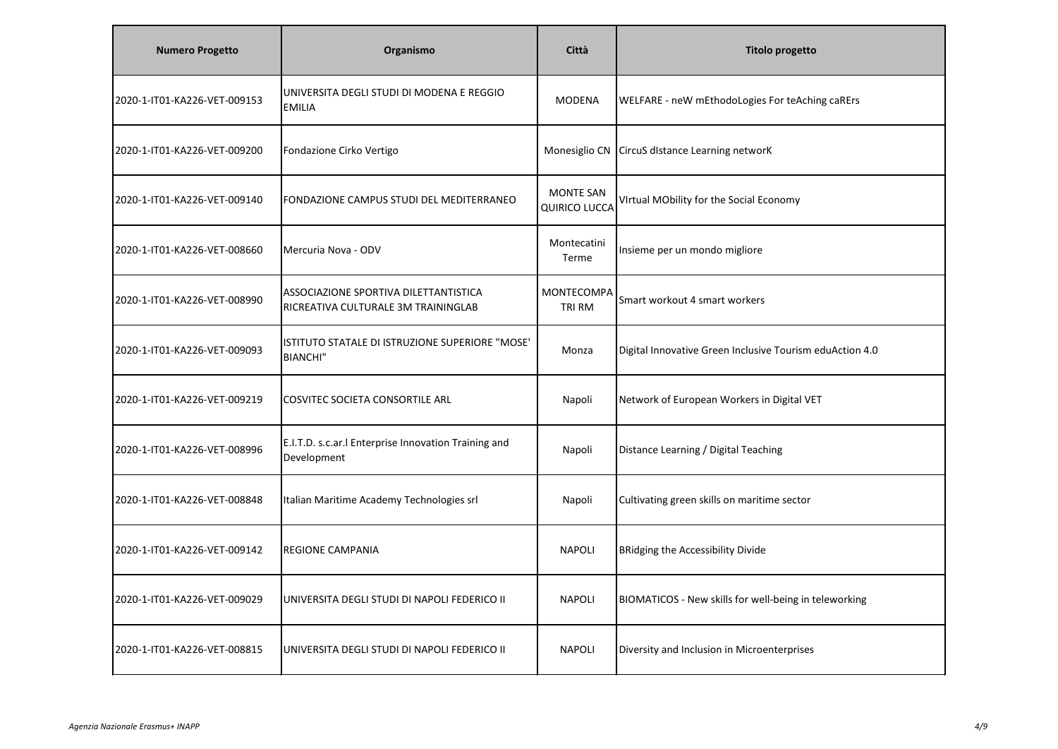| <b>Numero Progetto</b>       | Organismo                                                                    | Città                                    | <b>Titolo progetto</b>                                   |
|------------------------------|------------------------------------------------------------------------------|------------------------------------------|----------------------------------------------------------|
| 2020-1-IT01-KA226-VET-009153 | UNIVERSITA DEGLI STUDI DI MODENA E REGGIO<br><b>EMILIA</b>                   | <b>MODENA</b>                            | WELFARE - neW mEthodoLogies For teAching caRErs          |
| 2020-1-IT01-KA226-VET-009200 | Fondazione Cirko Vertigo                                                     | Monesiglio CN                            | CircuS distance Learning networK                         |
| 2020-1-IT01-KA226-VET-009140 | FONDAZIONE CAMPUS STUDI DEL MEDITERRANEO                                     | <b>MONTE SAN</b><br><b>QUIRICO LUCCA</b> | VIrtual MObility for the Social Economy                  |
| 2020-1-IT01-KA226-VET-008660 | Mercuria Nova - ODV                                                          | Montecatini<br>Terme                     | Insieme per un mondo migliore                            |
| 2020-1-IT01-KA226-VET-008990 | ASSOCIAZIONE SPORTIVA DILETTANTISTICA<br>RICREATIVA CULTURALE 3M TRAININGLAB | MONTECOMPA<br>TRI RM                     | Smart workout 4 smart workers                            |
| 2020-1-IT01-KA226-VET-009093 | ISTITUTO STATALE DI ISTRUZIONE SUPERIORE "MOSE"<br><b>BIANCHI"</b>           | Monza                                    | Digital Innovative Green Inclusive Tourism eduAction 4.0 |
| 2020-1-IT01-KA226-VET-009219 | COSVITEC SOCIETA CONSORTILE ARL                                              | Napoli                                   | Network of European Workers in Digital VET               |
| 2020-1-IT01-KA226-VET-008996 | E.I.T.D. s.c.ar.I Enterprise Innovation Training and<br>Development          | Napoli                                   | Distance Learning / Digital Teaching                     |
| 2020-1-IT01-KA226-VET-008848 | Italian Maritime Academy Technologies srl                                    | Napoli                                   | Cultivating green skills on maritime sector              |
| 2020-1-IT01-KA226-VET-009142 | <b>REGIONE CAMPANIA</b>                                                      | <b>NAPOLI</b>                            | <b>BRidging the Accessibility Divide</b>                 |
| 2020-1-IT01-KA226-VET-009029 | UNIVERSITA DEGLI STUDI DI NAPOLI FEDERICO II                                 | <b>NAPOLI</b>                            | BIOMATICOS - New skills for well-being in teleworking    |
| 2020-1-IT01-KA226-VET-008815 | UNIVERSITA DEGLI STUDI DI NAPOLI FEDERICO II                                 | <b>NAPOLI</b>                            | Diversity and Inclusion in Microenterprises              |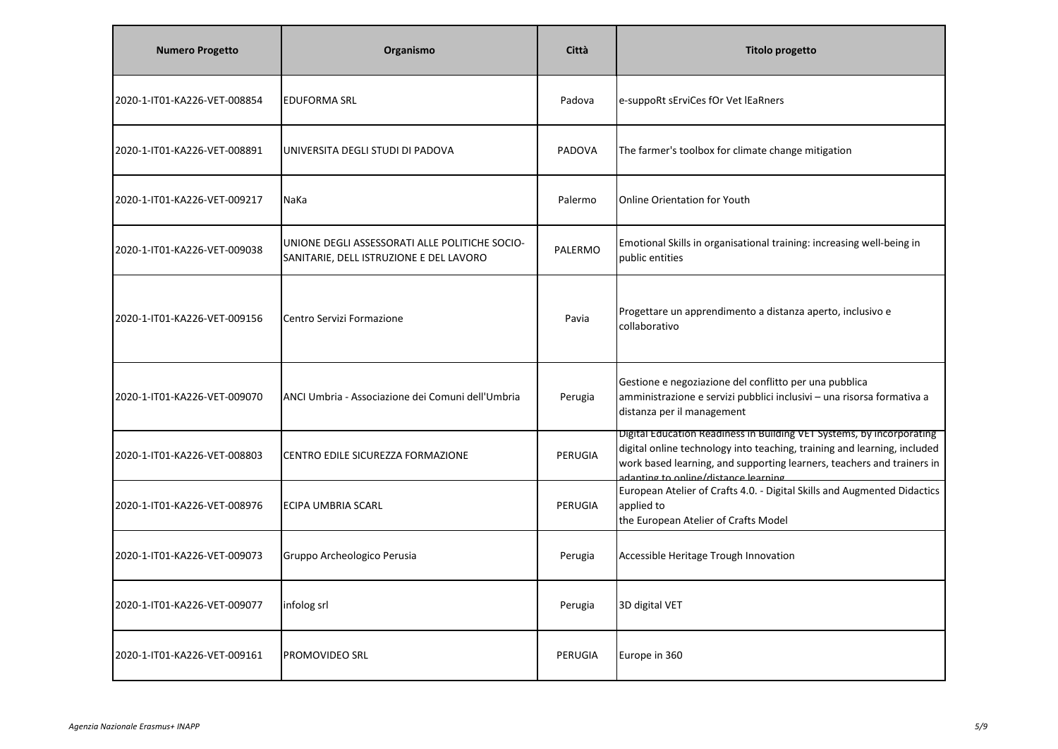| <b>Numero Progetto</b>       | Organismo                                                                                 | Città         | <b>Titolo progetto</b>                                                                                                                                                                                                                                              |
|------------------------------|-------------------------------------------------------------------------------------------|---------------|---------------------------------------------------------------------------------------------------------------------------------------------------------------------------------------------------------------------------------------------------------------------|
| 2020-1-IT01-KA226-VET-008854 | <b>EDUFORMA SRL</b>                                                                       | Padova        | e-suppoRt sErviCes fOr Vet lEaRners                                                                                                                                                                                                                                 |
| 2020-1-IT01-KA226-VET-008891 | UNIVERSITA DEGLI STUDI DI PADOVA                                                          | <b>PADOVA</b> | The farmer's toolbox for climate change mitigation                                                                                                                                                                                                                  |
| 2020-1-IT01-KA226-VET-009217 | NaKa                                                                                      | Palermo       | <b>Online Orientation for Youth</b>                                                                                                                                                                                                                                 |
| 2020-1-IT01-KA226-VET-009038 | UNIONE DEGLI ASSESSORATI ALLE POLITICHE SOCIO-<br>SANITARIE, DELL ISTRUZIONE E DEL LAVORO | PALERMO       | Emotional Skills in organisational training: increasing well-being in<br>public entities                                                                                                                                                                            |
| 2020-1-IT01-KA226-VET-009156 | Centro Servizi Formazione                                                                 | Pavia         | Progettare un apprendimento a distanza aperto, inclusivo e<br>collaborativo                                                                                                                                                                                         |
| 2020-1-IT01-KA226-VET-009070 | LANCI Umbria - Associazione dei Comuni dell'Umbria                                        | Perugia       | Gestione e negoziazione del conflitto per una pubblica<br>amministrazione e servizi pubblici inclusivi - una risorsa formativa a<br>distanza per il management                                                                                                      |
| 2020-1-IT01-KA226-VET-008803 | CENTRO EDILE SICUREZZA FORMAZIONE                                                         | PERUGIA       | Digital Education Readiness in Building VET Systems, by incorporating<br>digital online technology into teaching, training and learning, included<br>work based learning, and supporting learners, teachers and trainers in<br>adanting to online/distance learning |
| 2020-1-IT01-KA226-VET-008976 | <b>ECIPA UMBRIA SCARL</b>                                                                 | PERUGIA       | European Atelier of Crafts 4.0. - Digital Skills and Augmented Didactics<br>applied to<br>the European Atelier of Crafts Model                                                                                                                                      |
| 2020-1-IT01-KA226-VET-009073 | Gruppo Archeologico Perusia                                                               | Perugia       | Accessible Heritage Trough Innovation                                                                                                                                                                                                                               |
| 2020-1-IT01-KA226-VET-009077 | infolog srl                                                                               | Perugia       | 3D digital VET                                                                                                                                                                                                                                                      |
| 2020-1-IT01-KA226-VET-009161 | PROMOVIDEO SRL                                                                            | PERUGIA       | Europe in 360                                                                                                                                                                                                                                                       |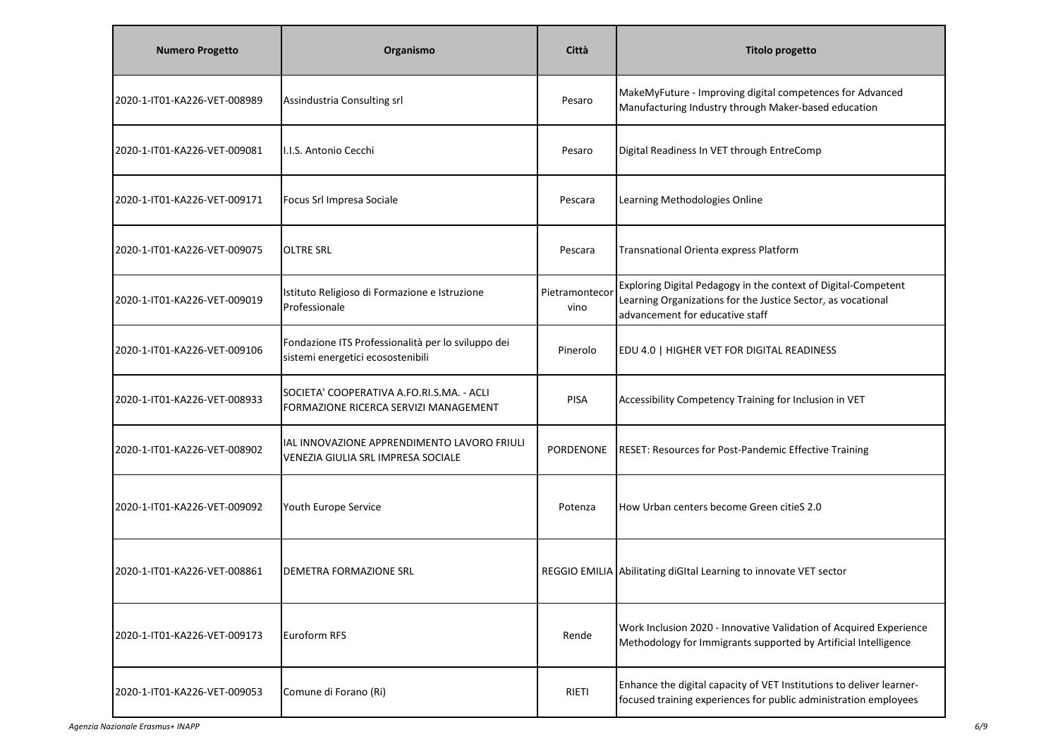| <b>Numero Progetto</b>       | Organismo                                                                               | Città                  | <b>Titolo progetto</b>                                                                                                                                            |
|------------------------------|-----------------------------------------------------------------------------------------|------------------------|-------------------------------------------------------------------------------------------------------------------------------------------------------------------|
| 2020-1-IT01-KA226-VET-008989 | Assindustria Consulting srl                                                             | Pesaro                 | MakeMyFuture - Improving digital competences for Advanced<br>Manufacturing Industry through Maker-based education                                                 |
| 2020-1-IT01-KA226-VET-009081 | I.I.S. Antonio Cecchi                                                                   | Pesaro                 | Digital Readiness In VET through EntreComp                                                                                                                        |
| 2020-1-IT01-KA226-VET-009171 | Focus Srl Impresa Sociale                                                               | Pescara                | Learning Methodologies Online                                                                                                                                     |
| 2020-1-IT01-KA226-VET-009075 | <b>OLTRE SRL</b>                                                                        | Pescara                | Transnational Orienta express Platform                                                                                                                            |
| 2020-1-IT01-KA226-VET-009019 | Istituto Religioso di Formazione e Istruzione<br>Professionale                          | Pietramontecor<br>vino | Exploring Digital Pedagogy in the context of Digital-Competent<br>Learning Organizations for the Justice Sector, as vocational<br>advancement for educative staff |
| 2020-1-IT01-KA226-VET-009106 | Fondazione ITS Professionalità per lo sviluppo dei<br>sistemi energetici ecosostenibili | Pinerolo               | EDU 4.0   HIGHER VET FOR DIGITAL READINESS                                                                                                                        |
| 2020-1-IT01-KA226-VET-008933 | SOCIETA' COOPERATIVA A.FO.RI.S.MA. - ACLI<br>FORMAZIONE RICERCA SERVIZI MANAGEMENT      | <b>PISA</b>            | Accessibility Competency Training for Inclusion in VET                                                                                                            |
| 2020-1-IT01-KA226-VET-008902 | IAL INNOVAZIONE APPRENDIMENTO LAVORO FRIULI<br>VENEZIA GIULIA SRL IMPRESA SOCIALE       | PORDENONE              | RESET: Resources for Post-Pandemic Effective Training                                                                                                             |
| 2020-1-IT01-KA226-VET-009092 | Youth Europe Service                                                                    | Potenza                | How Urban centers become Green citieS 2.0                                                                                                                         |
| 2020-1-IT01-KA226-VET-008861 | <b>DEMETRA FORMAZIONE SRL</b>                                                           |                        | REGGIO EMILIA Abilitating diGItal Learning to innovate VET sector                                                                                                 |
| 2020-1-IT01-KA226-VET-009173 | Euroform RFS                                                                            | Rende                  | Work Inclusion 2020 - Innovative Validation of Acquired Experience<br>Methodology for Immigrants supported by Artificial Intelligence                             |
| 2020-1-IT01-KA226-VET-009053 | Comune di Forano (Ri)                                                                   | RIETI                  | Enhance the digital capacity of VET Institutions to deliver learner-<br>focused training experiences for public administration employees                          |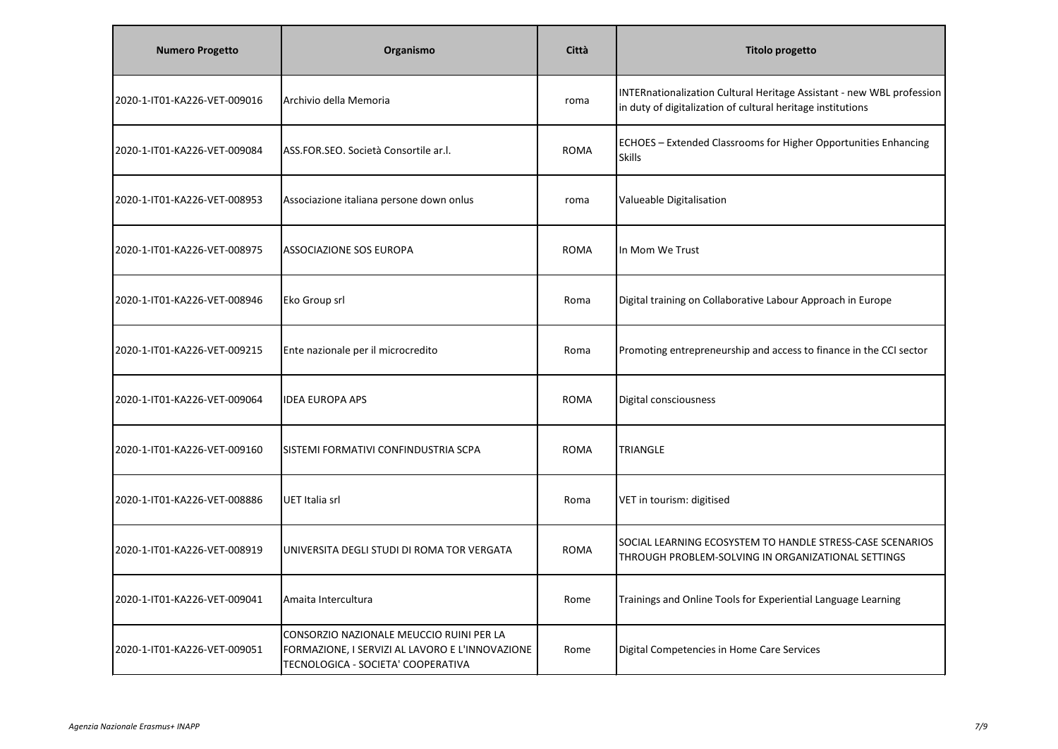| <b>Numero Progetto</b>       | Organismo                                                                                                                         | Città       | <b>Titolo progetto</b>                                                                                                               |
|------------------------------|-----------------------------------------------------------------------------------------------------------------------------------|-------------|--------------------------------------------------------------------------------------------------------------------------------------|
| 2020-1-IT01-KA226-VET-009016 | Archivio della Memoria                                                                                                            | roma        | INTERnationalization Cultural Heritage Assistant - new WBL profession<br>in duty of digitalization of cultural heritage institutions |
| 2020-1-IT01-KA226-VET-009084 | ASS.FOR.SEO. Società Consortile ar.l.                                                                                             | <b>ROMA</b> | ECHOES - Extended Classrooms for Higher Opportunities Enhancing<br><b>Skills</b>                                                     |
| 2020-1-IT01-KA226-VET-008953 | Associazione italiana persone down onlus                                                                                          | roma        | Valueable Digitalisation                                                                                                             |
| 2020-1-IT01-KA226-VET-008975 | <b>ASSOCIAZIONE SOS EUROPA</b>                                                                                                    | ROMA        | In Mom We Trust                                                                                                                      |
| 2020-1-IT01-KA226-VET-008946 | Eko Group srl                                                                                                                     | Roma        | Digital training on Collaborative Labour Approach in Europe                                                                          |
| 2020-1-IT01-KA226-VET-009215 | Ente nazionale per il microcredito                                                                                                | Roma        | Promoting entrepreneurship and access to finance in the CCI sector                                                                   |
| 2020-1-IT01-KA226-VET-009064 | <b>IDEA EUROPA APS</b>                                                                                                            | ROMA        | Digital consciousness                                                                                                                |
| 2020-1-IT01-KA226-VET-009160 | SISTEMI FORMATIVI CONFINDUSTRIA SCPA                                                                                              | <b>ROMA</b> | TRIANGLE                                                                                                                             |
| 2020-1-IT01-KA226-VET-008886 | UET Italia srl                                                                                                                    | Roma        | VET in tourism: digitised                                                                                                            |
| 2020-1-IT01-KA226-VET-008919 | UNIVERSITA DEGLI STUDI DI ROMA TOR VERGATA                                                                                        | <b>ROMA</b> | SOCIAL LEARNING ECOSYSTEM TO HANDLE STRESS-CASE SCENARIOS<br>THROUGH PROBLEM-SOLVING IN ORGANIZATIONAL SETTINGS                      |
| 2020-1-IT01-KA226-VET-009041 | Amaita Intercultura                                                                                                               | Rome        | Trainings and Online Tools for Experiential Language Learning                                                                        |
| 2020-1-IT01-KA226-VET-009051 | CONSORZIO NAZIONALE MEUCCIO RUINI PER LA<br>FORMAZIONE, I SERVIZI AL LAVORO E L'INNOVAZIONE<br>TECNOLOGICA - SOCIETA' COOPERATIVA | Rome        | Digital Competencies in Home Care Services                                                                                           |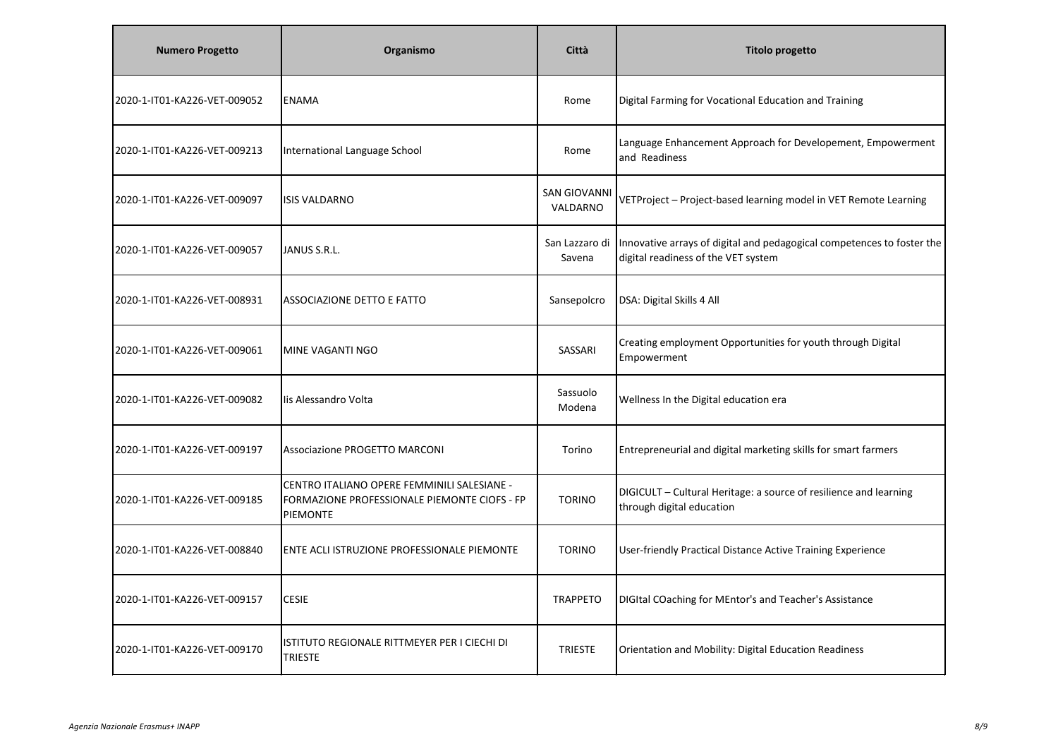| <b>Numero Progetto</b>       | Organismo                                                                                                      | Città                           | <b>Titolo progetto</b>                                                                                        |
|------------------------------|----------------------------------------------------------------------------------------------------------------|---------------------------------|---------------------------------------------------------------------------------------------------------------|
| 2020-1-IT01-KA226-VET-009052 | <b>ENAMA</b>                                                                                                   | Rome                            | Digital Farming for Vocational Education and Training                                                         |
| 2020-1-IT01-KA226-VET-009213 | International Language School                                                                                  | Rome                            | Language Enhancement Approach for Developement, Empowerment<br>and Readiness                                  |
| 2020-1-IT01-KA226-VET-009097 | <b>ISIS VALDARNO</b>                                                                                           | <b>SAN GIOVANNI</b><br>VALDARNO | VETProject - Project-based learning model in VET Remote Learning                                              |
| 2020-1-IT01-KA226-VET-009057 | JANUS S.R.L.                                                                                                   | San Lazzaro di<br>Savena        | Innovative arrays of digital and pedagogical competences to foster the<br>digital readiness of the VET system |
| 2020-1-IT01-KA226-VET-008931 | ASSOCIAZIONE DETTO E FATTO                                                                                     | Sansepolcro                     | DSA: Digital Skills 4 All                                                                                     |
| 2020-1-IT01-KA226-VET-009061 | <b>MINE VAGANTI NGO</b>                                                                                        | SASSARI                         | Creating employment Opportunities for youth through Digital<br>Empowerment                                    |
| 2020-1-IT01-KA226-VET-009082 | lis Alessandro Volta                                                                                           | Sassuolo<br>Modena              | Wellness In the Digital education era                                                                         |
| 2020-1-IT01-KA226-VET-009197 | Associazione PROGETTO MARCONI                                                                                  | Torino                          | Entrepreneurial and digital marketing skills for smart farmers                                                |
| 2020-1-IT01-KA226-VET-009185 | CENTRO ITALIANO OPERE FEMMINILI SALESIANE -<br>FORMAZIONE PROFESSIONALE PIEMONTE CIOFS - FP<br><b>PIEMONTE</b> | <b>TORINO</b>                   | DIGICULT - Cultural Heritage: a source of resilience and learning<br>through digital education                |
| 2020-1-IT01-KA226-VET-008840 | ENTE ACLI ISTRUZIONE PROFESSIONALE PIEMONTE                                                                    | <b>TORINO</b>                   | User-friendly Practical Distance Active Training Experience                                                   |
| 2020-1-IT01-KA226-VET-009157 | <b>CESIE</b>                                                                                                   | <b>TRAPPETO</b>                 | DIGItal COaching for MEntor's and Teacher's Assistance                                                        |
| 2020-1-IT01-KA226-VET-009170 | ISTITUTO REGIONALE RITTMEYER PER I CIECHI DI<br><b>TRIESTE</b>                                                 | <b>TRIESTE</b>                  | Orientation and Mobility: Digital Education Readiness                                                         |